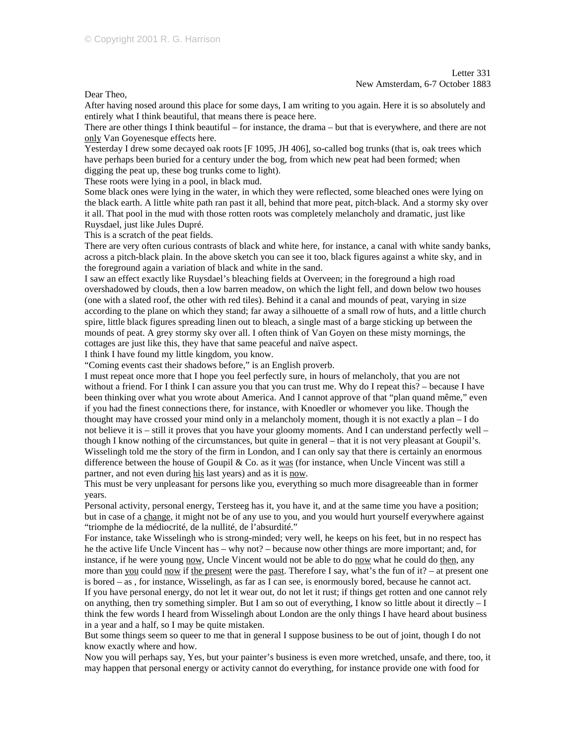Dear Theo,

After having nosed around this place for some days, I am writing to you again. Here it is so absolutely and entirely what I think beautiful, that means there is peace here.

There are other things I think beautiful – for instance, the drama – but that is everywhere, and there are not only Van Goyenesque effects here.

Yesterday I drew some decayed oak roots [F 1095, JH 406], so-called bog trunks (that is, oak trees which have perhaps been buried for a century under the bog, from which new peat had been formed; when digging the peat up, these bog trunks come to light).

These roots were lying in a pool, in black mud.

Some black ones were lying in the water, in which they were reflected, some bleached ones were lying on the black earth. A little white path ran past it all, behind that more peat, pitch-black. And a stormy sky over it all. That pool in the mud with those rotten roots was completely melancholy and dramatic, just like Ruysdael, just like Jules Dupré.

This is a scratch of the peat fields.

There are very often curious contrasts of black and white here, for instance, a canal with white sandy banks, across a pitch-black plain. In the above sketch you can see it too, black figures against a white sky, and in the foreground again a variation of black and white in the sand.

I saw an effect exactly like Ruysdael's bleaching fields at Overveen; in the foreground a high road overshadowed by clouds, then a low barren meadow, on which the light fell, and down below two houses (one with a slated roof, the other with red tiles). Behind it a canal and mounds of peat, varying in size according to the plane on which they stand; far away a silhouette of a small row of huts, and a little church spire, little black figures spreading linen out to bleach, a single mast of a barge sticking up between the mounds of peat. A grey stormy sky over all. I often think of Van Goyen on these misty mornings, the cottages are just like this, they have that same peaceful and naïve aspect.

I think I have found my little kingdom, you know.

"Coming events cast their shadows before," is an English proverb.

I must repeat once more that I hope you feel perfectly sure, in hours of melancholy, that you are not without a friend. For I think I can assure you that you can trust me. Why do I repeat this? – because I have been thinking over what you wrote about America. And I cannot approve of that "plan quand même," even if you had the finest connections there, for instance, with Knoedler or whomever you like. Though the thought may have crossed your mind only in a melancholy moment, though it is not exactly a plan – I do not believe it is – still it proves that you have your gloomy moments. And I can understand perfectly well – though I know nothing of the circumstances, but quite in general – that it is not very pleasant at Goupil's. Wisselingh told me the story of the firm in London, and I can only say that there is certainly an enormous difference between the house of Goupil & Co. as it was (for instance, when Uncle Vincent was still a partner, and not even during his last years) and as it is now.

This must be very unpleasant for persons like you, everything so much more disagreeable than in former years.

Personal activity, personal energy, Tersteeg has it, you have it, and at the same time you have a position; but in case of a change, it might not be of any use to you, and you would hurt yourself everywhere against "triomphe de la médiocrité, de la nullité, de l'absurdité."

For instance, take Wisselingh who is strong-minded; very well, he keeps on his feet, but in no respect has he the active life Uncle Vincent has – why not? – because now other things are more important; and, for instance, if he were young now, Uncle Vincent would not be able to do now what he could do then, any more than you could now if the present were the past. Therefore I say, what's the fun of it? – at present one is bored – as , for instance, Wisselingh, as far as I can see, is enormously bored, because he cannot act. If you have personal energy, do not let it wear out, do not let it rust; if things get rotten and one cannot rely on anything, then try something simpler. But I am so out of everything, I know so little about it directly – I think the few words I heard from Wisselingh about London are the only things I have heard about business in a year and a half, so I may be quite mistaken.

But some things seem so queer to me that in general I suppose business to be out of joint, though I do not know exactly where and how.

Now you will perhaps say, Yes, but your painter's business is even more wretched, unsafe, and there, too, it may happen that personal energy or activity cannot do everything, for instance provide one with food for